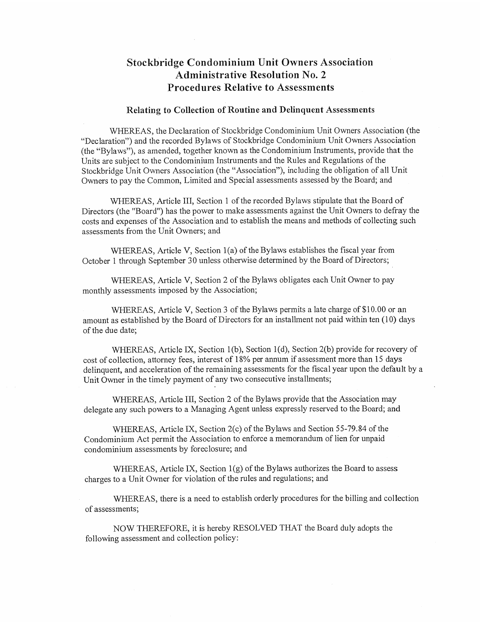# Stockbridge Condominium Unit Owners Association Administrative Resolution No. 2 Procedures Relative to Assessments

## Relating to Collection of Routine and Delinquent Assessments

WHEREAS, the Declaration of Stockbridge Condominium Unit Owners Association (the "Declaration") and the recorded Bylaws of Stockbridge Condominium Unit Owners Association (the "Bylaws"), as amended, together known as the Condominium Instruments, provide that the Units are subject to the Condominium Instruments and the Rules and Regulations of the Stockbridge Unit Owners Association (the "Association"), including the obligation of all Unit Owners to pay the Common, Limited and Special assessments assessed by the Board; and Stockbridge Condominium Unit Owners Association<br>
2 Administrative Resolution No. 2<br>
Procedures Relative to Assessments<br>
Relating to Collection of Routine and Delinquent Assessments<br>
Relating to Collection of Routine and D

WHEREAS, Article III, Section <sup>1</sup> of the recorded Bylaws stipulate that the Board of Directors (the "Board") has the power to make assessments against the Unit Owners to defray the costs and expenses of the Association and to establish the means and methods of collecting such assessments from the Unit Owners; and

WHEREAS, Article V, Section 1(a) of the Bylaws establishes the fiscal year from October <sup>1</sup> through September 30 unless otherwise determined by the Board of Directors;

WHEREAS, Article V, Section 2 of the Bylaws obligates each Unit Owner to pay monthly assessments imposed by the Association;

WHEREAS, Article V, Section <sup>3</sup> of the Bylaws permits <sup>a</sup> late charge of \$10.00 or an amount as established by the Board of Directors for an installment not paid within ten (10) days of the due date;

WHEREAS, Article IX, Section 1(b), Section 1(d), Section 2(b) provide for recovery of cost of collection, attorney fees, interest of 18% per annum if assessment more than <sup>15</sup> days delinquent, and acceleration of the remaining assessments for the fiscal year upon the default by <sup>a</sup> Unit Owner in the timely payment of any two consecutive installments;

WHEREAS, Article III, Section <sup>2</sup> of the Bylaws provide that the Association may delegate any such powers to <sup>a</sup> Managing Agent unless expressly reserved to the Board; and

WHEREAS, Article IX, Section  $2(c)$  of the Bylaws and Section 55-79.84 of the Condominium Act permit the Association to enforce <sup>a</sup> memorandum of lien for unpaid condominium assessments by foreclosure; and

WHEREAS, Article IX, Section 1(g) of the Bylaws authorizes the Board to assess charges to <sup>a</sup> Unit Owner for violation of the rules and regulations; and

WHEREAS, there is a need to establish orderly procedures for the billing and collection of assessments;

NOW THEREFORE, it is hereby RESOLVED THAT the Board duly adopts the following assessment and collection policy: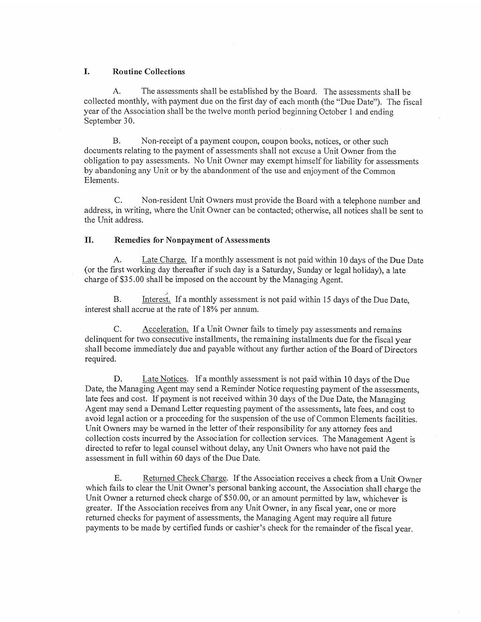## I. Routine Collections

A. The assessments shall be established by the Board. The assessments shall be collected monthly, with payment due on the first day of each month (the "Due Date"). The fiscal year of the Association shall be the twelve month period beginning October <sup>1</sup> and ending September 30.

B. Non-receipt of <sup>a</sup> payment coupon, coupon books, notices, or other such documents relating to the payment of assessments shall not excuse <sup>a</sup> Unit Owner from the obligation to pay assessments. No Unit Owner may exempt himself for liability for assessments by abandoning any Unit or by the abandonment of the use and enjoyment of the Common Elements.

C. Non-resident Unit Owners must provide the Board with a telephone number and address, in writing, where the Unit Owner can be contacted; otherwise, all notices shall be sent to the Unit address.

### II. Remedies for Nonpayment of Assessments

A. Late Charge. If <sup>a</sup> monthly assessment is not paid within <sup>10</sup> days of the Due Date (or the first working day thereafter if such day is <sup>a</sup> Saturday, Sunday or legal holiday), <sup>a</sup> late charge of \$35.00 shall be imposed on the account by the Managing Agent.

B. Interest. If a monthly assessment is not paid within 15 days of the Due Date, interest shall accrue at the rate of 18% per annum.

C. Acceleration. If <sup>a</sup> Unit Owner fails to timely pay assessments and remains delinquent for two consecutive installments, the remaining installments due for the fiscal year shall become immediately due and payable without any further action of the Board of Directors required.

D. Late Notices. If <sup>a</sup> monthly assessment is not paid within <sup>10</sup> days of the Due Date, the Managing Agent may send <sup>a</sup> Reminder Notice requesting payment of the assessments, late fees and cost. If payment is not received within <sup>30</sup> days of the Due Date, the Managing Agent may send <sup>a</sup> Demand Letter requesting payment of the assessments, late fees, and cost to avoid legal action or <sup>a</sup> proceeding for the suspension of the use of Common Elements facilities. Unit Owners may be warned in the letter of their responsibility for any attorney fees and collection costs incurred by the Association for collection services. The Management Agent is directed to refer to legal counsel without delay, any Unit Owners who have not paid the assessment in full within 60 days of the Due Date. 1. Rootine Collections<br>
2. Rootine Collections<br>
2. A. The assessments shall be collected monthly, with payment due on the first day of such menth (the "Due Date"). The fixcal<br>collected monthly, with payment due on the fir

E. Returned Check Charge. If the Association receives <sup>a</sup> check from <sup>a</sup> Unit Owner which fails to clear the Unit Owner's personal banking account, the Association shall charge the Unit Owner a returned check charge of \$50.00, or an amount permitted by law, whichever is greater. If the Association receives from any Unit Owner, in any fiscal year, one or more returned checks for payment of assessments, the Managing Agent may require all future payments to be made by certified funds or cashier's cheek for the remainder of the fiscal year.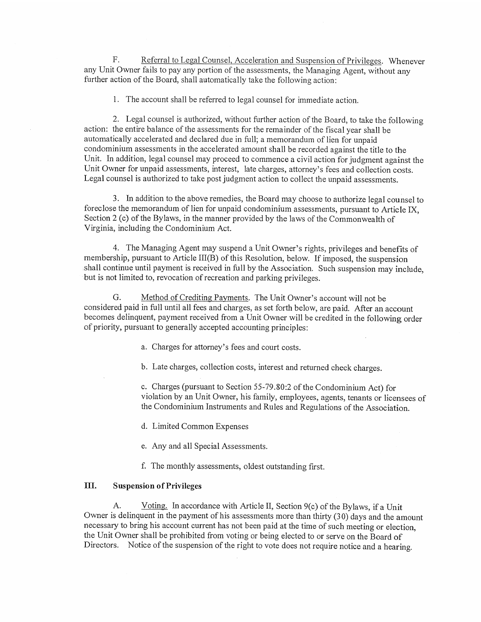F. Referral to Legal Counsel, Acceleration and Suspension of Privileges. Whenever any Unit Owner fails to pay any portion of the assessments, the Managing Agent, without any further action of the Board, shall automatically take the following action:

1. The account shall be referred to legal counsel for immediate action.

2. Legal counsel is authorized, without further action of the Board, to take the following action: the entire balance of the assessments for the remainder of the fiscal year shall be automatically accelerated and declared due in full; <sup>a</sup> memorandum of lien for unpaid condominium assessments in the accelerated amount shall be recorded against the title to the Unit. In addition, legal counsel may proceed to commence <sup>a</sup> civil action for judgment against the Unit Owner for unpaid assessments, interest, late charges, attorney's fees and collection costs. Legal counsel is authorized to take post judgment action to collect the unpaid assessments. F.<br>
Engleration Learns (Loansel Association and Suspension definitions. Whenever<br>
any Unit Owean First in the pay any portion of the assessments, the Managing Agent, without any<br>
during the first of the Book of All automa

3. In addition to the above remedies, the Board may choose to authorize legal counsel to foreclose the memorandum of lien for unpaid condominium assessments, pursuant to Article TX, Section <sup>2</sup> (c) of the Bylaws, in the manner provided by the laws of the Commonwealth of Virginia, including the Condominium Act.

4. The Managing Agent may suspend <sup>a</sup> Unit Owner's rights, privileges and benefits of membership, pursuant to Article 111(B) of this Resolution, below. If imposed, the suspension shall continue until payment is received in full by the Association. Such suspension may include, but is not limited to, revocation of recreation and parking privileges.

G. Method of Crediting Payments. The Unit Owner's account will not be considered paid in full until all fees and charges, as set forth below, are paid. After an account becomes delinquent, payment received from <sup>a</sup> Unit Owner will be credited in the following order of priority, pursuant to generally accepted accounting principles:

a. Charges for attorney's fees and court costs.

b. Late charges, collection costs, interest and returned check charges.

c. Charges (pursuant to Section 55-79.80:2 of the Condominium Act) for violation by an Unit Owner, his family, employees, agents, tenants or licensees of the Condominium Instruments and Rules and Regulations of the Association.

d. Limited Common Expenses

e. Any and all Special Assessments.

f. The monthly assessments, oldest outstanding first.

### [II. Suspension of Privileges

A. Voting. In accordance with Article II, Section 9(c) of the Bylaws, if a Unit Owner is delinquent in the payment of his assessments more than thirty (30) days and the amount necessary to bring his account current has not been paid at the time of such meeting or election, the Unit Owner shall be prohibited from voting or being elected to or serve on the Board of Directors. Notice of the suspension of the right to vote does not require notice and a hearing.